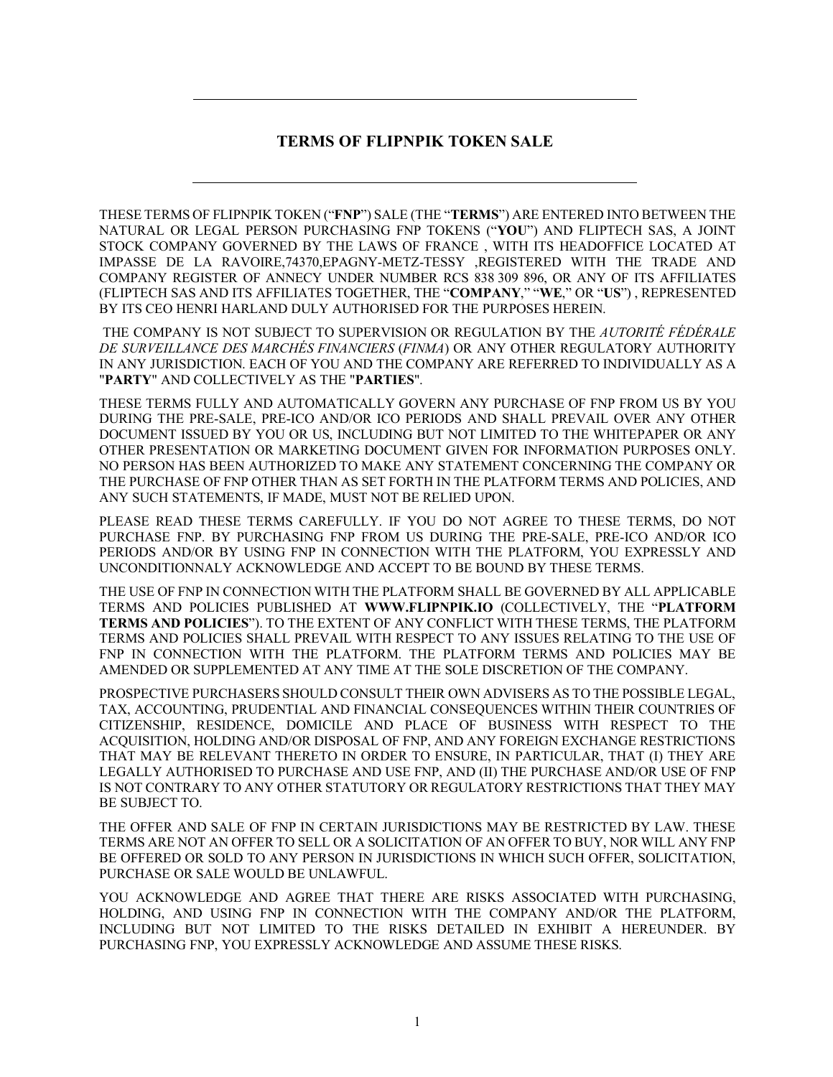# **TERMS OF FLIPNPIK TOKEN SALE**

THESE TERMS OF FLIPNPIK TOKEN ("**FNP**") SALE (THE "**TERMS**") ARE ENTERED INTO BETWEEN THE NATURAL OR LEGAL PERSON PURCHASING FNP TOKENS ("**YOU**") AND FLIPTECH SAS, A JOINT STOCK COMPANY GOVERNED BY THE LAWS OF FRANCE , WITH ITS HEADOFFICE LOCATED AT IMPASSE DE LA RAVOIRE,74370,EPAGNY-METZ-TESSY ,REGISTERED WITH THE TRADE AND COMPANY REGISTER OF ANNECY UNDER NUMBER RCS 838 309 896, OR ANY OF ITS AFFILIATES (FLIPTECH SAS AND ITS AFFILIATES TOGETHER, THE "**COMPANY**," "**WE**," OR "**US**") , REPRESENTED BY ITS CEO HENRI HARLAND DULY AUTHORISED FOR THE PURPOSES HEREIN.

THE COMPANY IS NOT SUBJECT TO SUPERVISION OR REGULATION BY THE *AUTORITÉ FÉDÉRALE DE SURVEILLANCE DES MARCHÉS FINANCIERS* (*FINMA*) OR ANY OTHER REGULATORY AUTHORITY IN ANY JURISDICTION. EACH OF YOU AND THE COMPANY ARE REFERRED TO INDIVIDUALLY AS A "**PARTY**" AND COLLECTIVELY AS THE "**PARTIES**".

THESE TERMS FULLY AND AUTOMATICALLY GOVERN ANY PURCHASE OF FNP FROM US BY YOU DURING THE PRE-SALE, PRE-ICO AND/OR ICO PERIODS AND SHALL PREVAIL OVER ANY OTHER DOCUMENT ISSUED BY YOU OR US, INCLUDING BUT NOT LIMITED TO THE WHITEPAPER OR ANY OTHER PRESENTATION OR MARKETING DOCUMENT GIVEN FOR INFORMATION PURPOSES ONLY. NO PERSON HAS BEEN AUTHORIZED TO MAKE ANY STATEMENT CONCERNING THE COMPANY OR THE PURCHASE OF FNP OTHER THAN AS SET FORTH IN THE PLATFORM TERMS AND POLICIES, AND ANY SUCH STATEMENTS, IF MADE, MUST NOT BE RELIED UPON.

PLEASE READ THESE TERMS CAREFULLY. IF YOU DO NOT AGREE TO THESE TERMS, DO NOT PURCHASE FNP. BY PURCHASING FNP FROM US DURING THE PRE-SALE, PRE-ICO AND/OR ICO PERIODS AND/OR BY USING FNP IN CONNECTION WITH THE PLATFORM, YOU EXPRESSLY AND UNCONDITIONNALY ACKNOWLEDGE AND ACCEPT TO BE BOUND BY THESE TERMS.

THE USE OF FNP IN CONNECTION WITH THE PLATFORM SHALL BE GOVERNED BY ALL APPLICABLE TERMS AND POLICIES PUBLISHED AT **WWW.FLIPNPIK.IO** (COLLECTIVELY, THE "**PLATFORM TERMS AND POLICIES**"). TO THE EXTENT OF ANY CONFLICT WITH THESE TERMS, THE PLATFORM TERMS AND POLICIES SHALL PREVAIL WITH RESPECT TO ANY ISSUES RELATING TO THE USE OF FNP IN CONNECTION WITH THE PLATFORM. THE PLATFORM TERMS AND POLICIES MAY BE AMENDED OR SUPPLEMENTED AT ANY TIME AT THE SOLE DISCRETION OF THE COMPANY.

PROSPECTIVE PURCHASERS SHOULD CONSULT THEIR OWN ADVISERS AS TO THE POSSIBLE LEGAL, TAX, ACCOUNTING, PRUDENTIAL AND FINANCIAL CONSEQUENCES WITHIN THEIR COUNTRIES OF CITIZENSHIP, RESIDENCE, DOMICILE AND PLACE OF BUSINESS WITH RESPECT TO THE ACQUISITION, HOLDING AND/OR DISPOSAL OF FNP, AND ANY FOREIGN EXCHANGE RESTRICTIONS THAT MAY BE RELEVANT THERETO IN ORDER TO ENSURE, IN PARTICULAR, THAT (I) THEY ARE LEGALLY AUTHORISED TO PURCHASE AND USE FNP, AND (II) THE PURCHASE AND/OR USE OF FNP IS NOT CONTRARY TO ANY OTHER STATUTORY OR REGULATORY RESTRICTIONS THAT THEY MAY BE SUBJECT TO.

THE OFFER AND SALE OF FNP IN CERTAIN JURISDICTIONS MAY BE RESTRICTED BY LAW. THESE TERMS ARE NOT AN OFFER TO SELL OR A SOLICITATION OF AN OFFER TO BUY, NOR WILL ANY FNP BE OFFERED OR SOLD TO ANY PERSON IN JURISDICTIONS IN WHICH SUCH OFFER, SOLICITATION, PURCHASE OR SALE WOULD BE UNLAWFUL.

YOU ACKNOWLEDGE AND AGREE THAT THERE ARE RISKS ASSOCIATED WITH PURCHASING, HOLDING, AND USING FNP IN CONNECTION WITH THE COMPANY AND/OR THE PLATFORM, INCLUDING BUT NOT LIMITED TO THE RISKS DETAILED IN EXHIBIT A HEREUNDER. BY PURCHASING FNP, YOU EXPRESSLY ACKNOWLEDGE AND ASSUME THESE RISKS.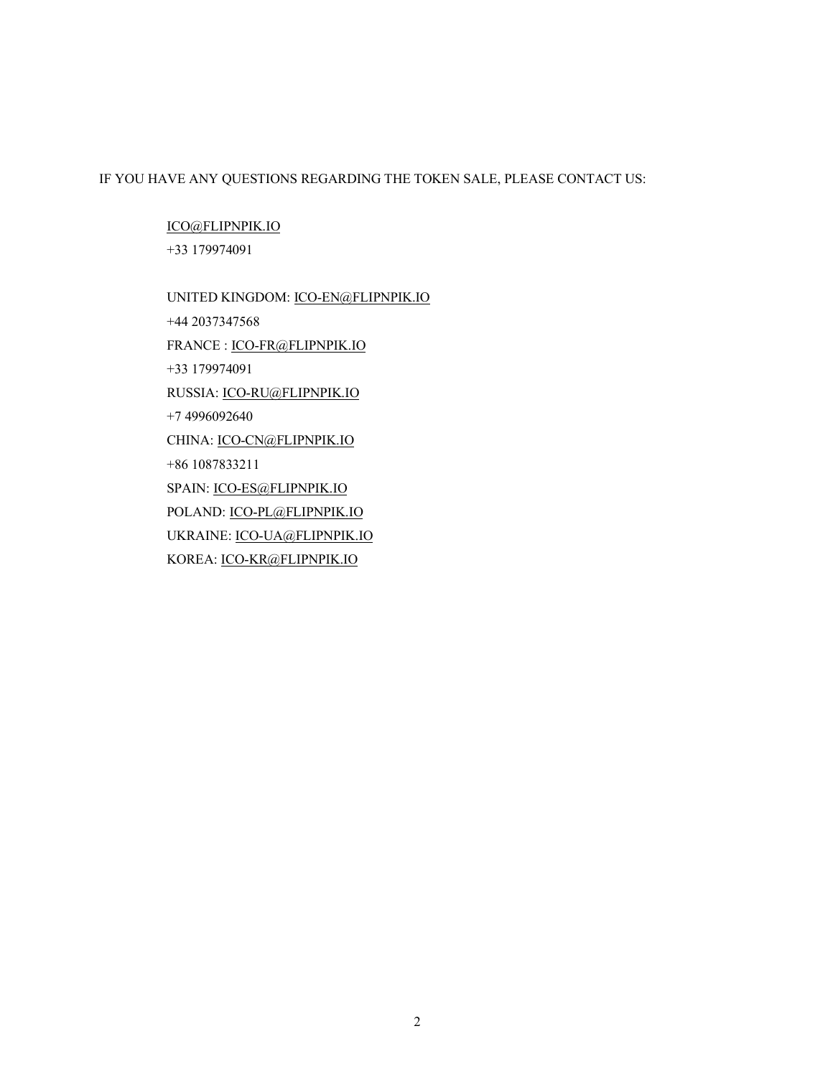# IF YOU HAVE ANY QUESTIONS REGARDING THE TOKEN SALE, PLEASE CONTACT US:

ICO@FLIPNPIK.IO +33 179974091

UNITED KINGDOM: ICO-EN@FLIPNPIK.IO +44 2037347568 FRANCE : ICO-FR@FLIPNPIK.IO +33 179974091 RUSSIA: ICO-RU@FLIPNPIK.IO +7 4996092640 CHINA: ICO-CN@FLIPNPIK.IO +86 1087833211 SPAIN: ICO-ES@FLIPNPIK.IO POLAND: ICO-PL@FLIPNPIK.IO UKRAINE: ICO-UA@FLIPNPIK.IO KOREA: ICO-KR@FLIPNPIK.IO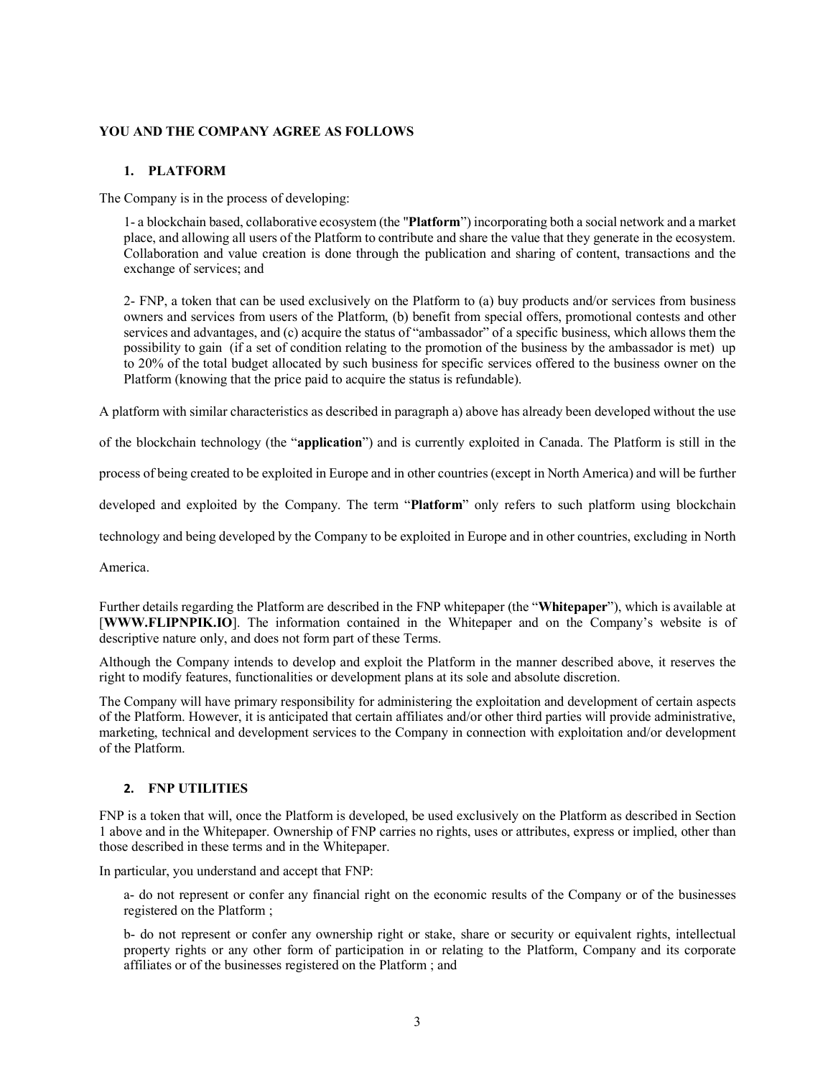## **YOU AND THE COMPANY AGREE AS FOLLOWS**

#### **1. PLATFORM**

The Company is in the process of developing:

1- a blockchain based, collaborative ecosystem (the "**Platform**") incorporating both a social network and a market place, and allowing all users of the Platform to contribute and share the value that they generate in the ecosystem. Collaboration and value creation is done through the publication and sharing of content, transactions and the exchange of services; and

2- FNP, a token that can be used exclusively on the Platform to (a) buy products and/or services from business owners and services from users of the Platform, (b) benefit from special offers, promotional contests and other services and advantages, and (c) acquire the status of "ambassador" of a specific business, which allows them the possibility to gain (if a set of condition relating to the promotion of the business by the ambassador is met) up to 20% of the total budget allocated by such business for specific services offered to the business owner on the Platform (knowing that the price paid to acquire the status is refundable).

A platform with similar characteristics as described in paragraph a) above has already been developed without the use

of the blockchain technology (the "**application**") and is currently exploited in Canada. The Platform is still in the

process of being created to be exploited in Europe and in other countries (except in North America) and will be further

developed and exploited by the Company. The term "**Platform**" only refers to such platform using blockchain

technology and being developed by the Company to be exploited in Europe and in other countries, excluding in North

America.

Further details regarding the Platform are described in the FNP whitepaper (the "**Whitepaper**"), which is available at [**WWW.FLIPNPIK.IO**]. The information contained in the Whitepaper and on the Company's website is of descriptive nature only, and does not form part of these Terms.

Although the Company intends to develop and exploit the Platform in the manner described above, it reserves the right to modify features, functionalities or development plans at its sole and absolute discretion.

The Company will have primary responsibility for administering the exploitation and development of certain aspects of the Platform. However, it is anticipated that certain affiliates and/or other third parties will provide administrative, marketing, technical and development services to the Company in connection with exploitation and/or development of the Platform.

#### **2. FNP UTILITIES**

FNP is a token that will, once the Platform is developed, be used exclusively on the Platform as described in Section 1 above and in the Whitepaper. Ownership of FNP carries no rights, uses or attributes, express or implied, other than those described in these terms and in the Whitepaper.

In particular, you understand and accept that FNP:

a- do not represent or confer any financial right on the economic results of the Company or of the businesses registered on the Platform ;

b- do not represent or confer any ownership right or stake, share or security or equivalent rights, intellectual property rights or any other form of participation in or relating to the Platform, Company and its corporate affiliates or of the businesses registered on the Platform ; and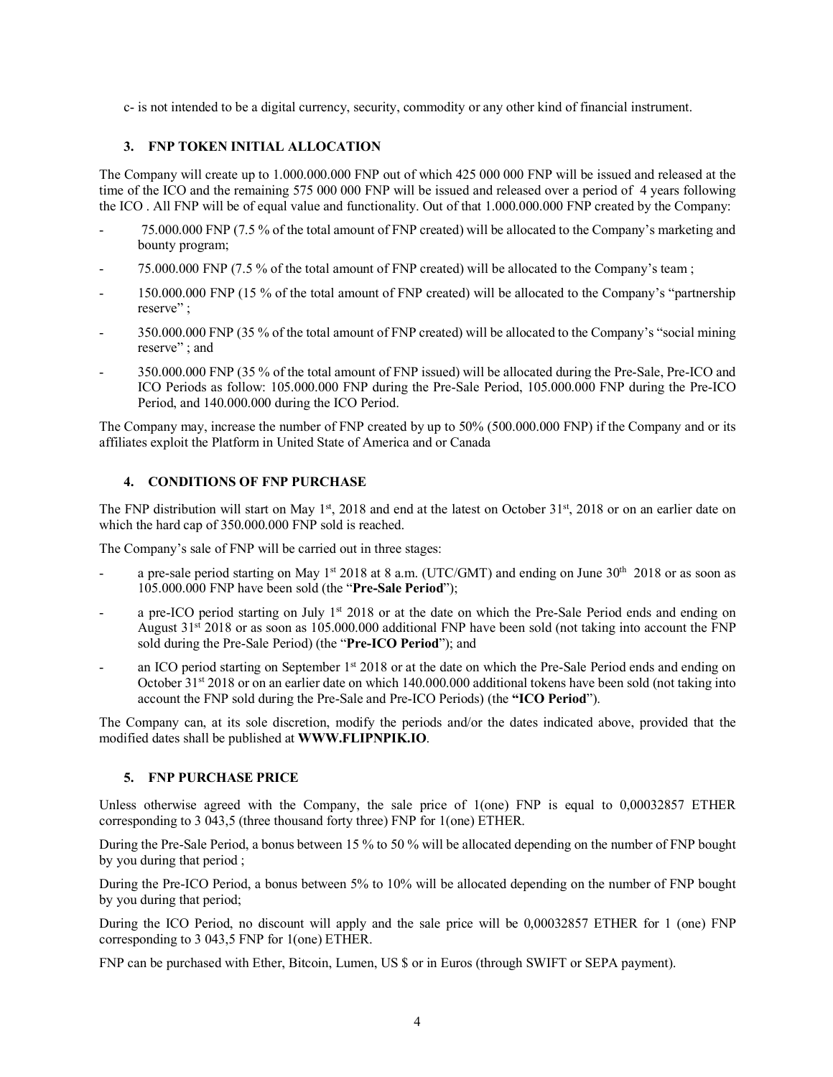c- is not intended to be a digital currency, security, commodity or any other kind of financial instrument.

# **3. FNP TOKEN INITIAL ALLOCATION**

The Company will create up to 1.000.000.000 FNP out of which 425 000 000 FNP will be issued and released at the time of the ICO and the remaining 575 000 000 FNP will be issued and released over a period of 4 years following the ICO . All FNP will be of equal value and functionality. Out of that 1.000.000.000 FNP created by the Company:

- 75.000.000 FNP (7.5 % of the total amount of FNP created) will be allocated to the Company's marketing and bounty program;
- 75.000.000 FNP (7.5 % of the total amount of FNP created) will be allocated to the Company's team ;
- 150.000.000 FNP (15 % of the total amount of FNP created) will be allocated to the Company's "partnership reserve" ;
- 350.000.000 FNP (35 % of the total amount of FNP created) will be allocated to the Company's "social mining reserve" ; and
- 350.000.000 FNP (35 % of the total amount of FNP issued) will be allocated during the Pre-Sale, Pre-ICO and ICO Periods as follow: 105.000.000 FNP during the Pre-Sale Period, 105.000.000 FNP during the Pre-ICO Period, and 140.000.000 during the ICO Period.

The Company may, increase the number of FNP created by up to 50% (500.000.000 FNP) if the Company and or its affiliates exploit the Platform in United State of America and or Canada

# **4. CONDITIONS OF FNP PURCHASE**

The FNP distribution will start on May  $1<sup>st</sup>$ , 2018 and end at the latest on October 31<sup>st</sup>, 2018 or on an earlier date on which the hard cap of 350.000.000 FNP sold is reached.

The Company's sale of FNP will be carried out in three stages:

- a pre-sale period starting on May 1<sup>st</sup> 2018 at 8 a.m. (UTC/GMT) and ending on June  $30<sup>th</sup>$  2018 or as soon as 105.000.000 FNP have been sold (the "**Pre-Sale Period**");
- a pre-ICO period starting on July 1<sup>st</sup> 2018 or at the date on which the Pre-Sale Period ends and ending on August 31st 2018 or as soon as 105.000.000 additional FNP have been sold (not taking into account the FNP sold during the Pre-Sale Period) (the "**Pre-ICO Period**"); and
- an ICO period starting on September  $1<sup>st</sup> 2018$  or at the date on which the Pre-Sale Period ends and ending on October 31st 2018 or on an earlier date on which 140.000.000 additional tokens have been sold (not taking into account the FNP sold during the Pre-Sale and Pre-ICO Periods) (the **"ICO Period**").

The Company can, at its sole discretion, modify the periods and/or the dates indicated above, provided that the modified dates shall be published at **WWW.FLIPNPIK.IO**.

# **5. FNP PURCHASE PRICE**

Unless otherwise agreed with the Company, the sale price of 1(one) FNP is equal to 0,00032857 ETHER corresponding to 3 043,5 (three thousand forty three) FNP for 1(one) ETHER.

During the Pre-Sale Period, a bonus between 15 % to 50 % will be allocated depending on the number of FNP bought by you during that period ;

During the Pre-ICO Period, a bonus between 5% to 10% will be allocated depending on the number of FNP bought by you during that period;

During the ICO Period, no discount will apply and the sale price will be 0,00032857 ETHER for 1 (one) FNP corresponding to 3 043,5 FNP for 1(one) ETHER.

FNP can be purchased with Ether, Bitcoin, Lumen, US \$ or in Euros (through SWIFT or SEPA payment).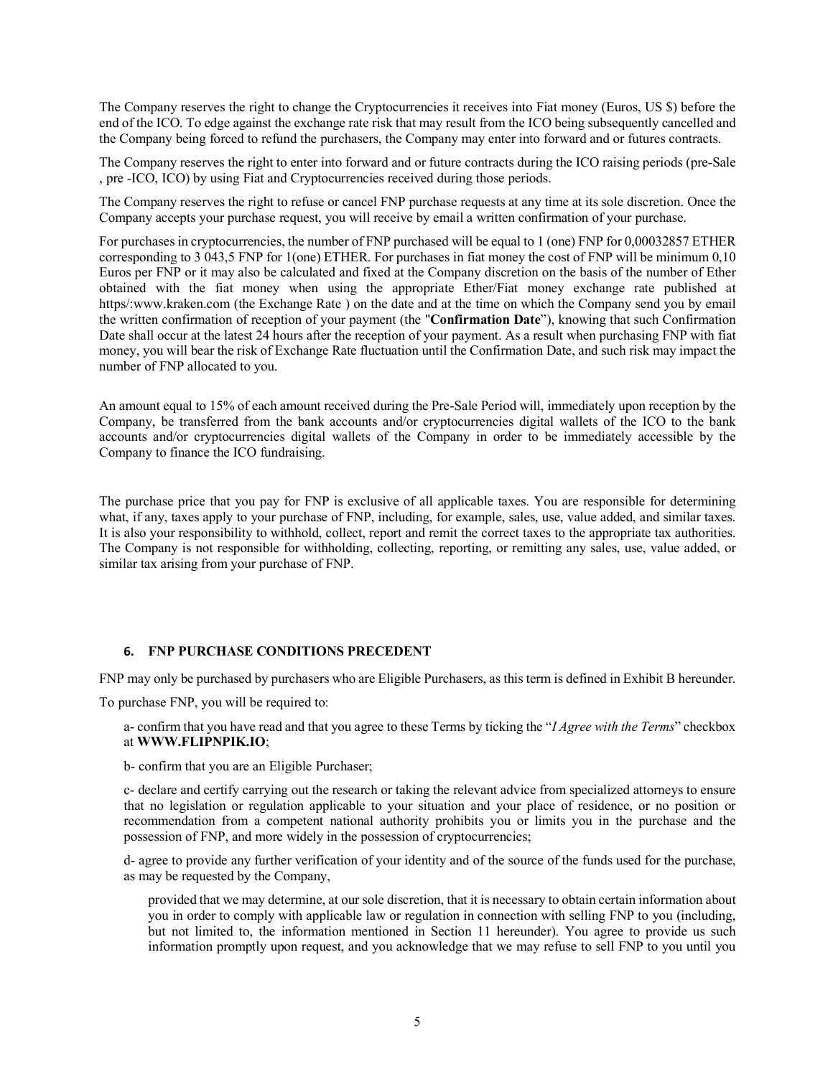The Company reserves the right to change the Cryptocurrencies it receives into Fiat money (Euros, US \$) before the end of the ICO. To edge against the exchange rate risk that may result from the ICO being subsequently cancelled and the Company being forced to refund the purchasers, the Company may enter into forward and or futures contracts.

The Company reserves the right to enter into forward and or future contracts during the ICO raising periods (pre-Sale , pre -ICO, ICO) by using Fiat and Cryptocurrencies received during those periods.

The Company reserves the right to refuse or cancel FNP purchase requests at any time at its sole discretion. Once the Company accepts your purchase request, you will receive by email a written confirmation of your purchase.

For purchases in cryptocurrencies, the number of FNP purchased will be equal to 1 (one) FNP for 0,00032857 ETHER corresponding to 3 043,5 FNP for 1(one) ETHER. For purchases in fiat money the cost of FNP will be minimum 0,10 Euros per FNP or it may also be calculated and fixed at the Company discretion on the basis of the number of Ether obtained with the fiat money when using the appropriate Ether/Fiat money exchange rate published at https/:www.kraken.com (the Exchange Rate ) on the date and at the time on which the Company send you by email the written confirmation of reception of your payment (the "**Confirmation Date**"), knowing that such Confirmation Date shall occur at the latest 24 hours after the reception of your payment. As a result when purchasing FNP with fiat money, you will bear the risk of Exchange Rate fluctuation until the Confirmation Date, and such risk may impact the number of FNP allocated to you.

An amount equal to 15% of each amount received during the Pre-Sale Period will, immediately upon reception by the Company, be transferred from the bank accounts and/or cryptocurrencies digital wallets of the ICO to the bank accounts and/or cryptocurrencies digital wallets of the Company in order to be immediately accessible by the Company to finance the ICO fundraising.

The purchase price that you pay for FNP is exclusive of all applicable taxes. You are responsible for determining what, if any, taxes apply to your purchase of FNP, including, for example, sales, use, value added, and similar taxes. It is also your responsibility to withhold, collect, report and remit the correct taxes to the appropriate tax authorities. The Company is not responsible for withholding, collecting, reporting, or remitting any sales, use, value added, or similar tax arising from your purchase of FNP.

## **6. FNP PURCHASE CONDITIONS PRECEDENT**

FNP may only be purchased by purchasers who are Eligible Purchasers, as this term is defined in Exhibit B hereunder.

To purchase FNP, you will be required to:

a- confirm that you have read and that you agree to these Terms by ticking the "*I Agree with the Terms*" checkbox at **WWW.FLIPNPIK.IO**;

b- confirm that you are an Eligible Purchaser;

c- declare and certify carrying out the research or taking the relevant advice from specialized attorneys to ensure that no legislation or regulation applicable to your situation and your place of residence, or no position or recommendation from a competent national authority prohibits you or limits you in the purchase and the possession of FNP, and more widely in the possession of cryptocurrencies;

d- agree to provide any further verification of your identity and of the source of the funds used for the purchase, as may be requested by the Company,

provided that we may determine, at our sole discretion, that it is necessary to obtain certain information about you in order to comply with applicable law or regulation in connection with selling FNP to you (including, but not limited to, the information mentioned in Section 11 hereunder). You agree to provide us such information promptly upon request, and you acknowledge that we may refuse to sell FNP to you until you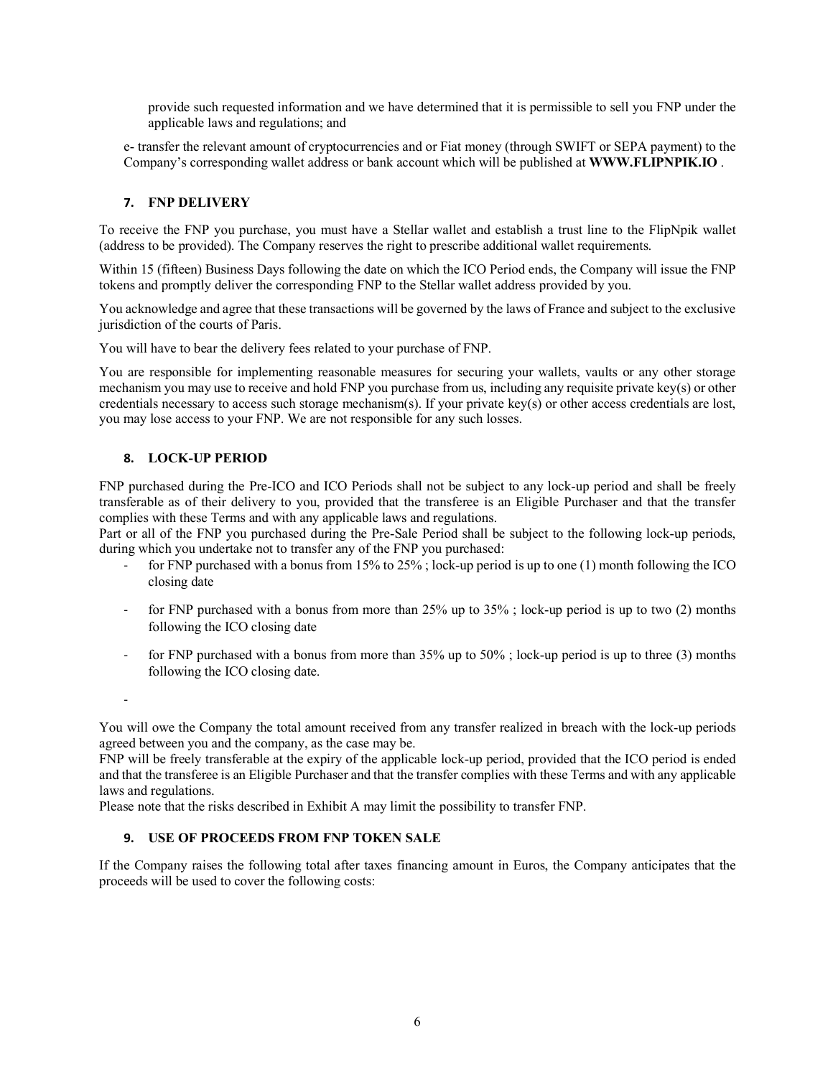provide such requested information and we have determined that it is permissible to sell you FNP under the applicable laws and regulations; and

e- transfer the relevant amount of cryptocurrencies and or Fiat money (through SWIFT or SEPA payment) to the Company's corresponding wallet address or bank account which will be published at **WWW.FLIPNPIK.IO** .

## **7. FNP DELIVERY**

To receive the FNP you purchase, you must have a Stellar wallet and establish a trust line to the FlipNpik wallet (address to be provided). The Company reserves the right to prescribe additional wallet requirements.

Within 15 (fifteen) Business Days following the date on which the ICO Period ends, the Company will issue the FNP tokens and promptly deliver the corresponding FNP to the Stellar wallet address provided by you.

You acknowledge and agree that these transactions will be governed by the laws of France and subject to the exclusive jurisdiction of the courts of Paris.

You will have to bear the delivery fees related to your purchase of FNP.

You are responsible for implementing reasonable measures for securing your wallets, vaults or any other storage mechanism you may use to receive and hold FNP you purchase from us, including any requisite private key(s) or other credentials necessary to access such storage mechanism(s). If your private key(s) or other access credentials are lost, you may lose access to your FNP. We are not responsible for any such losses.

#### **8. LOCK-UP PERIOD**

FNP purchased during the Pre-ICO and ICO Periods shall not be subject to any lock-up period and shall be freely transferable as of their delivery to you, provided that the transferee is an Eligible Purchaser and that the transfer complies with these Terms and with any applicable laws and regulations.

Part or all of the FNP you purchased during the Pre-Sale Period shall be subject to the following lock-up periods, during which you undertake not to transfer any of the FNP you purchased:

- for FNP purchased with a bonus from  $15\%$  to  $25\%$ ; lock-up period is up to one (1) month following the ICO closing date
- for FNP purchased with a bonus from more than  $25\%$  up to  $35\%$ ; lock-up period is up to two (2) months following the ICO closing date
- for FNP purchased with a bonus from more than 35% up to 50%; lock-up period is up to three (3) months following the ICO closing date.

-

You will owe the Company the total amount received from any transfer realized in breach with the lock-up periods agreed between you and the company, as the case may be.

FNP will be freely transferable at the expiry of the applicable lock-up period, provided that the ICO period is ended and that the transferee is an Eligible Purchaser and that the transfer complies with these Terms and with any applicable laws and regulations.

Please note that the risks described in Exhibit A may limit the possibility to transfer FNP.

# **9. USE OF PROCEEDS FROM FNP TOKEN SALE**

If the Company raises the following total after taxes financing amount in Euros, the Company anticipates that the proceeds will be used to cover the following costs: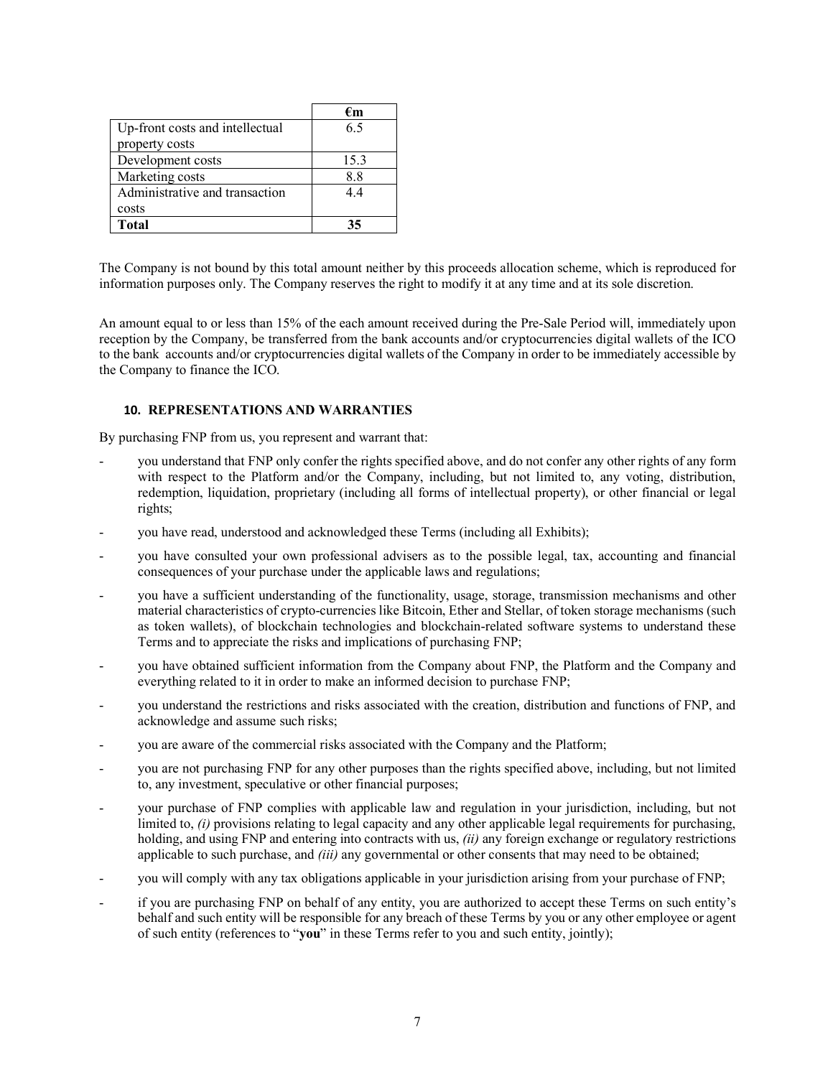|                                 | €m   |
|---------------------------------|------|
| Up-front costs and intellectual | 65   |
| property costs                  |      |
| Development costs               | 15.3 |
| Marketing costs                 | 88   |
| Administrative and transaction  | 44   |
| costs                           |      |
| <b>Total</b>                    | 35   |

The Company is not bound by this total amount neither by this proceeds allocation scheme, which is reproduced for information purposes only. The Company reserves the right to modify it at any time and at its sole discretion.

An amount equal to or less than 15% of the each amount received during the Pre-Sale Period will, immediately upon reception by the Company, be transferred from the bank accounts and/or cryptocurrencies digital wallets of the ICO to the bank accounts and/or cryptocurrencies digital wallets of the Company in order to be immediately accessible by the Company to finance the ICO.

#### **10. REPRESENTATIONS AND WARRANTIES**

By purchasing FNP from us, you represent and warrant that:

- you understand that FNP only confer the rights specified above, and do not confer any other rights of any form with respect to the Platform and/or the Company, including, but not limited to, any voting, distribution, redemption, liquidation, proprietary (including all forms of intellectual property), or other financial or legal rights;
- you have read, understood and acknowledged these Terms (including all Exhibits);
- you have consulted your own professional advisers as to the possible legal, tax, accounting and financial consequences of your purchase under the applicable laws and regulations;
- you have a sufficient understanding of the functionality, usage, storage, transmission mechanisms and other material characteristics of crypto-currencies like Bitcoin, Ether and Stellar, of token storage mechanisms (such as token wallets), of blockchain technologies and blockchain-related software systems to understand these Terms and to appreciate the risks and implications of purchasing FNP;
- you have obtained sufficient information from the Company about FNP, the Platform and the Company and everything related to it in order to make an informed decision to purchase FNP;
- you understand the restrictions and risks associated with the creation, distribution and functions of FNP, and acknowledge and assume such risks;
- you are aware of the commercial risks associated with the Company and the Platform;
- you are not purchasing FNP for any other purposes than the rights specified above, including, but not limited to, any investment, speculative or other financial purposes;
- your purchase of FNP complies with applicable law and regulation in your jurisdiction, including, but not limited to, *(i)* provisions relating to legal capacity and any other applicable legal requirements for purchasing, holding, and using FNP and entering into contracts with us, *(ii)* any foreign exchange or regulatory restrictions applicable to such purchase, and *(iii)* any governmental or other consents that may need to be obtained;
- you will comply with any tax obligations applicable in your jurisdiction arising from your purchase of FNP;
- if you are purchasing FNP on behalf of any entity, you are authorized to accept these Terms on such entity's behalf and such entity will be responsible for any breach of these Terms by you or any other employee or agent of such entity (references to "**you**" in these Terms refer to you and such entity, jointly);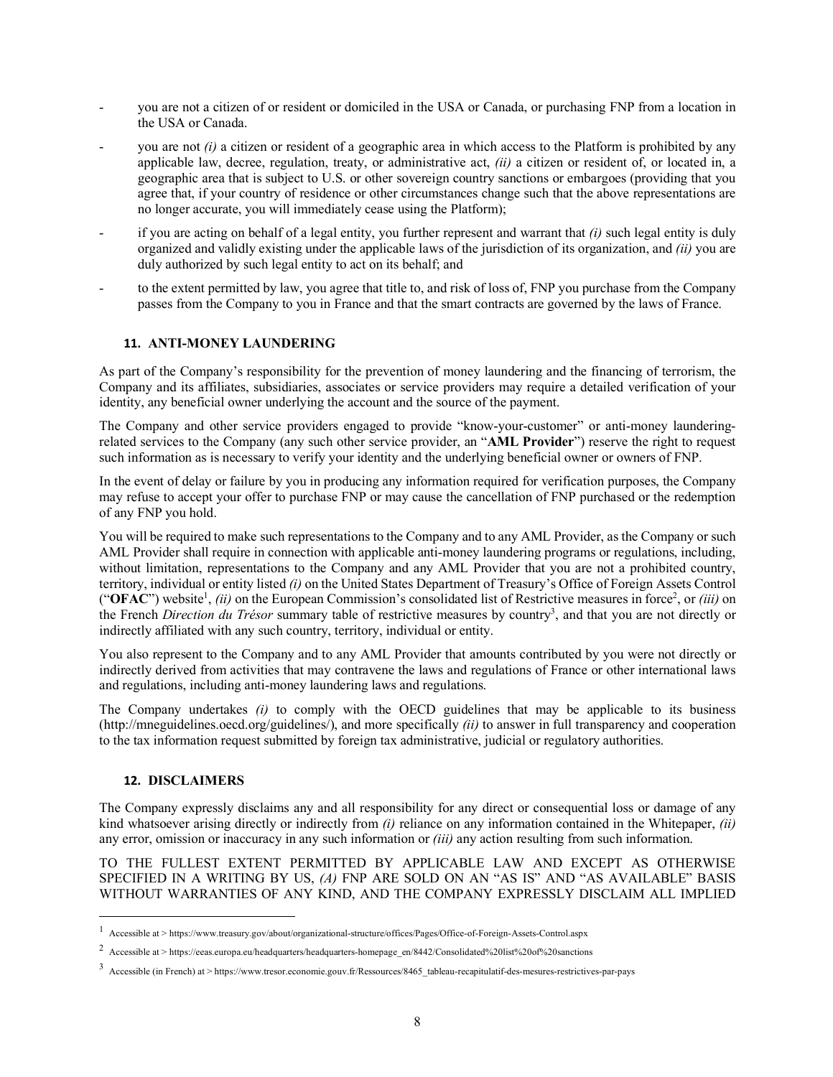- you are not a citizen of or resident or domiciled in the USA or Canada, or purchasing FNP from a location in the USA or Canada.
- you are not *(i)* a citizen or resident of a geographic area in which access to the Platform is prohibited by any applicable law, decree, regulation, treaty, or administrative act, *(ii)* a citizen or resident of, or located in, a geographic area that is subject to U.S. or other sovereign country sanctions or embargoes (providing that you agree that, if your country of residence or other circumstances change such that the above representations are no longer accurate, you will immediately cease using the Platform);
- if you are acting on behalf of a legal entity, you further represent and warrant that *(i)* such legal entity is duly organized and validly existing under the applicable laws of the jurisdiction of its organization, and *(ii)* you are duly authorized by such legal entity to act on its behalf; and
- to the extent permitted by law, you agree that title to, and risk of loss of, FNP you purchase from the Company passes from the Company to you in France and that the smart contracts are governed by the laws of France.

# **11. ANTI-MONEY LAUNDERING**

As part of the Company's responsibility for the prevention of money laundering and the financing of terrorism, the Company and its affiliates, subsidiaries, associates or service providers may require a detailed verification of your identity, any beneficial owner underlying the account and the source of the payment.

The Company and other service providers engaged to provide "know-your-customer" or anti-money launderingrelated services to the Company (any such other service provider, an "**AML Provider**") reserve the right to request such information as is necessary to verify your identity and the underlying beneficial owner or owners of FNP.

In the event of delay or failure by you in producing any information required for verification purposes, the Company may refuse to accept your offer to purchase FNP or may cause the cancellation of FNP purchased or the redemption of any FNP you hold.

You will be required to make such representations to the Company and to any AML Provider, as the Company or such AML Provider shall require in connection with applicable anti-money laundering programs or regulations, including, without limitation, representations to the Company and any AML Provider that you are not a prohibited country, territory, individual or entity listed *(i)* on the United States Department of Treasury's Office of Foreign Assets Control ("OFAC") website<sup>1</sup>, *(ii)* on the European Commission's consolidated list of Restrictive measures in force<sup>2</sup>, or *(iii)* on the French *Direction du Trésor* summary table of restrictive measures by country<sup>3</sup>, and that you are not directly or indirectly affiliated with any such country, territory, individual or entity.

You also represent to the Company and to any AML Provider that amounts contributed by you were not directly or indirectly derived from activities that may contravene the laws and regulations of France or other international laws and regulations, including anti-money laundering laws and regulations.

The Company undertakes *(i)* to comply with the OECD guidelines that may be applicable to its business (http://mneguidelines.oecd.org/guidelines/), and more specifically *(ii)* to answer in full transparency and cooperation to the tax information request submitted by foreign tax administrative, judicial or regulatory authorities.

#### **12. DISCLAIMERS**

The Company expressly disclaims any and all responsibility for any direct or consequential loss or damage of any kind whatsoever arising directly or indirectly from *(i)* reliance on any information contained in the Whitepaper, *(ii)* any error, omission or inaccuracy in any such information or *(iii)* any action resulting from such information.

TO THE FULLEST EXTENT PERMITTED BY APPLICABLE LAW AND EXCEPT AS OTHERWISE SPECIFIED IN A WRITING BY US, *(A)* FNP ARE SOLD ON AN "AS IS" AND "AS AVAILABLE" BASIS WITHOUT WARRANTIES OF ANY KIND, AND THE COMPANY EXPRESSLY DISCLAIM ALL IMPLIED

 <sup>1</sup> Accessible at <sup>&</sup>gt; https://www.treasury.gov/about/organizational-structure/offices/Pages/Office-of-Foreign-Assets-Control.aspx

<sup>&</sup>lt;sup>2</sup> Accessible at > https://eeas.europa.eu/headquarters/headquarters-homepage\_en/8442/Consolidated%20list%20of%20sanctions

<sup>3</sup> Accessible (in French) at <sup>&</sup>gt; https://www.tresor.economie.gouv.fr/Ressources/8465\_tableau-recapitulatif-des-mesures-restrictives-par-pays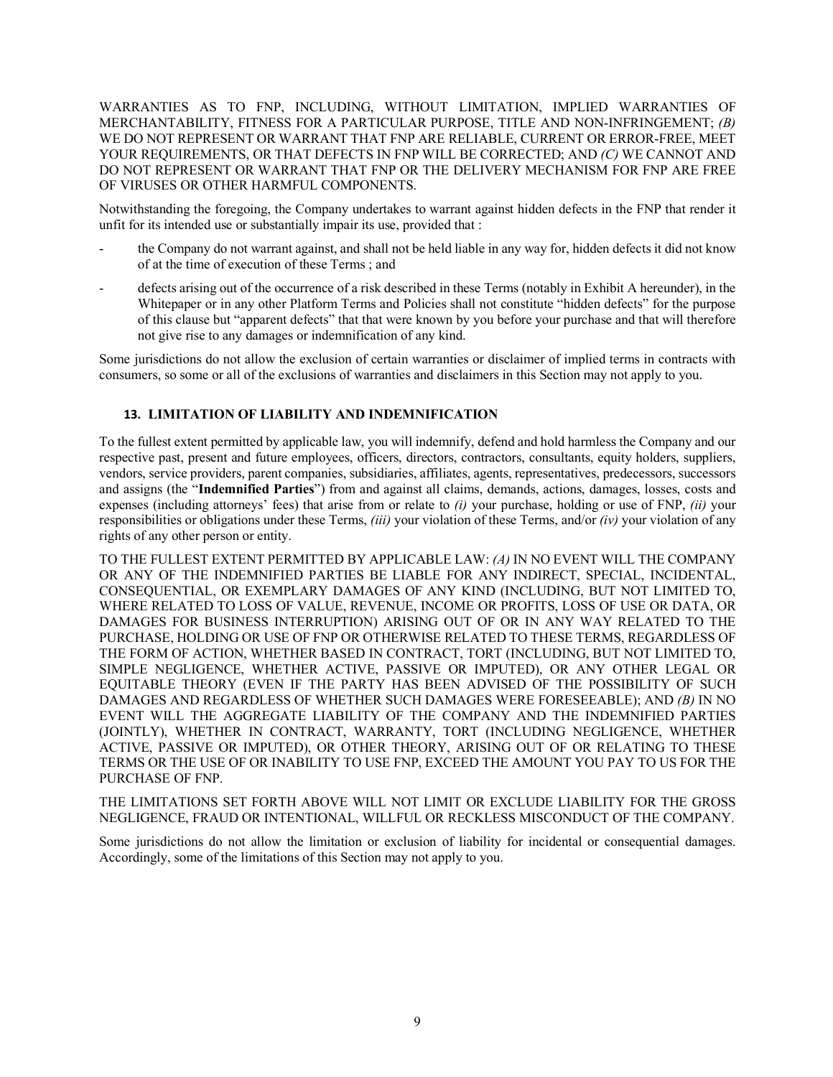WARRANTIES AS TO FNP, INCLUDING, WITHOUT LIMITATION, IMPLIED WARRANTIES OF MERCHANTABILITY, FITNESS FOR A PARTICULAR PURPOSE, TITLE AND NON-INFRINGEMENT; *(B)* WE DO NOT REPRESENT OR WARRANT THAT FNP ARE RELIABLE, CURRENT OR ERROR-FREE, MEET YOUR REQUIREMENTS, OR THAT DEFECTS IN FNP WILL BE CORRECTED; AND *(C)* WE CANNOT AND DO NOT REPRESENT OR WARRANT THAT FNP OR THE DELIVERY MECHANISM FOR FNP ARE FREE OF VIRUSES OR OTHER HARMFUL COMPONENTS.

Notwithstanding the foregoing, the Company undertakes to warrant against hidden defects in the FNP that render it unfit for its intended use or substantially impair its use, provided that :

- the Company do not warrant against, and shall not be held liable in any way for, hidden defects it did not know of at the time of execution of these Terms ; and
- defects arising out of the occurrence of a risk described in these Terms (notably in Exhibit A hereunder), in the Whitepaper or in any other Platform Terms and Policies shall not constitute "hidden defects" for the purpose of this clause but "apparent defects" that that were known by you before your purchase and that will therefore not give rise to any damages or indemnification of any kind.

Some jurisdictions do not allow the exclusion of certain warranties or disclaimer of implied terms in contracts with consumers, so some or all of the exclusions of warranties and disclaimers in this Section may not apply to you.

# **13. LIMITATION OF LIABILITY AND INDEMNIFICATION**

To the fullest extent permitted by applicable law, you will indemnify, defend and hold harmless the Company and our respective past, present and future employees, officers, directors, contractors, consultants, equity holders, suppliers, vendors, service providers, parent companies, subsidiaries, affiliates, agents, representatives, predecessors, successors and assigns (the "**Indemnified Parties**") from and against all claims, demands, actions, damages, losses, costs and expenses (including attorneys' fees) that arise from or relate to *(i)* your purchase, holding or use of FNP, *(ii)* your responsibilities or obligations under these Terms, *(iii)* your violation of these Terms, and/or *(iv)* your violation of any rights of any other person or entity.

TO THE FULLEST EXTENT PERMITTED BY APPLICABLE LAW: *(A)* IN NO EVENT WILL THE COMPANY OR ANY OF THE INDEMNIFIED PARTIES BE LIABLE FOR ANY INDIRECT, SPECIAL, INCIDENTAL, CONSEQUENTIAL, OR EXEMPLARY DAMAGES OF ANY KIND (INCLUDING, BUT NOT LIMITED TO, WHERE RELATED TO LOSS OF VALUE, REVENUE, INCOME OR PROFITS, LOSS OF USE OR DATA, OR DAMAGES FOR BUSINESS INTERRUPTION) ARISING OUT OF OR IN ANY WAY RELATED TO THE PURCHASE, HOLDING OR USE OF FNP OR OTHERWISE RELATED TO THESE TERMS, REGARDLESS OF THE FORM OF ACTION, WHETHER BASED IN CONTRACT, TORT (INCLUDING, BUT NOT LIMITED TO, SIMPLE NEGLIGENCE, WHETHER ACTIVE, PASSIVE OR IMPUTED), OR ANY OTHER LEGAL OR EQUITABLE THEORY (EVEN IF THE PARTY HAS BEEN ADVISED OF THE POSSIBILITY OF SUCH DAMAGES AND REGARDLESS OF WHETHER SUCH DAMAGES WERE FORESEEABLE); AND *(B)* IN NO EVENT WILL THE AGGREGATE LIABILITY OF THE COMPANY AND THE INDEMNIFIED PARTIES (JOINTLY), WHETHER IN CONTRACT, WARRANTY, TORT (INCLUDING NEGLIGENCE, WHETHER ACTIVE, PASSIVE OR IMPUTED), OR OTHER THEORY, ARISING OUT OF OR RELATING TO THESE TERMS OR THE USE OF OR INABILITY TO USE FNP, EXCEED THE AMOUNT YOU PAY TO US FOR THE PURCHASE OF FNP.

THE LIMITATIONS SET FORTH ABOVE WILL NOT LIMIT OR EXCLUDE LIABILITY FOR THE GROSS NEGLIGENCE, FRAUD OR INTENTIONAL, WILLFUL OR RECKLESS MISCONDUCT OF THE COMPANY.

Some jurisdictions do not allow the limitation or exclusion of liability for incidental or consequential damages. Accordingly, some of the limitations of this Section may not apply to you.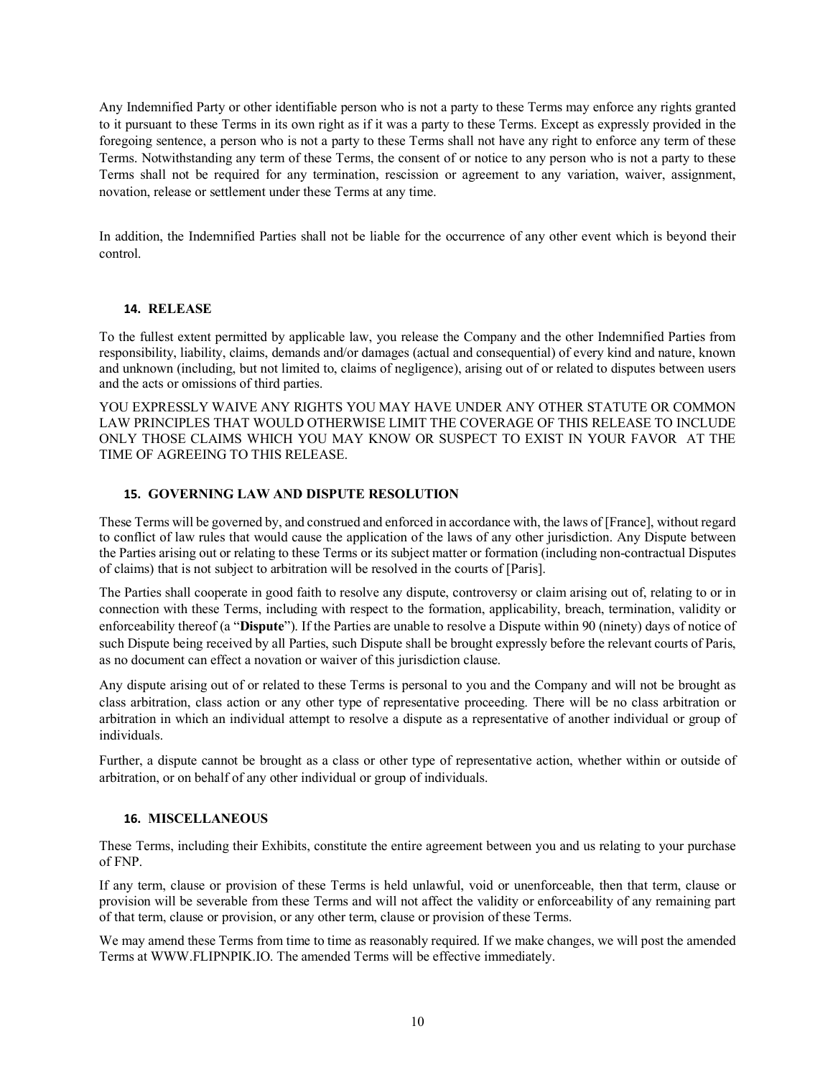Any Indemnified Party or other identifiable person who is not a party to these Terms may enforce any rights granted to it pursuant to these Terms in its own right as if it was a party to these Terms. Except as expressly provided in the foregoing sentence, a person who is not a party to these Terms shall not have any right to enforce any term of these Terms. Notwithstanding any term of these Terms, the consent of or notice to any person who is not a party to these Terms shall not be required for any termination, rescission or agreement to any variation, waiver, assignment, novation, release or settlement under these Terms at any time.

In addition, the Indemnified Parties shall not be liable for the occurrence of any other event which is beyond their control.

# **14. RELEASE**

To the fullest extent permitted by applicable law, you release the Company and the other Indemnified Parties from responsibility, liability, claims, demands and/or damages (actual and consequential) of every kind and nature, known and unknown (including, but not limited to, claims of negligence), arising out of or related to disputes between users and the acts or omissions of third parties.

YOU EXPRESSLY WAIVE ANY RIGHTS YOU MAY HAVE UNDER ANY OTHER STATUTE OR COMMON LAW PRINCIPLES THAT WOULD OTHERWISE LIMIT THE COVERAGE OF THIS RELEASE TO INCLUDE ONLY THOSE CLAIMS WHICH YOU MAY KNOW OR SUSPECT TO EXIST IN YOUR FAVOR AT THE TIME OF AGREEING TO THIS RELEASE.

# **15. GOVERNING LAW AND DISPUTE RESOLUTION**

These Terms will be governed by, and construed and enforced in accordance with, the laws of [France], without regard to conflict of law rules that would cause the application of the laws of any other jurisdiction. Any Dispute between the Parties arising out or relating to these Terms or its subject matter or formation (including non-contractual Disputes of claims) that is not subject to arbitration will be resolved in the courts of [Paris].

The Parties shall cooperate in good faith to resolve any dispute, controversy or claim arising out of, relating to or in connection with these Terms, including with respect to the formation, applicability, breach, termination, validity or enforceability thereof (a "**Dispute**"). If the Parties are unable to resolve a Dispute within 90 (ninety) days of notice of such Dispute being received by all Parties, such Dispute shall be brought expressly before the relevant courts of Paris, as no document can effect a novation or waiver of this jurisdiction clause.

Any dispute arising out of or related to these Terms is personal to you and the Company and will not be brought as class arbitration, class action or any other type of representative proceeding. There will be no class arbitration or arbitration in which an individual attempt to resolve a dispute as a representative of another individual or group of individuals.

Further, a dispute cannot be brought as a class or other type of representative action, whether within or outside of arbitration, or on behalf of any other individual or group of individuals.

## **16. MISCELLANEOUS**

These Terms, including their Exhibits, constitute the entire agreement between you and us relating to your purchase of FNP.

If any term, clause or provision of these Terms is held unlawful, void or unenforceable, then that term, clause or provision will be severable from these Terms and will not affect the validity or enforceability of any remaining part of that term, clause or provision, or any other term, clause or provision of these Terms.

We may amend these Terms from time to time as reasonably required. If we make changes, we will post the amended Terms at WWW.FLIPNPIK.IO. The amended Terms will be effective immediately.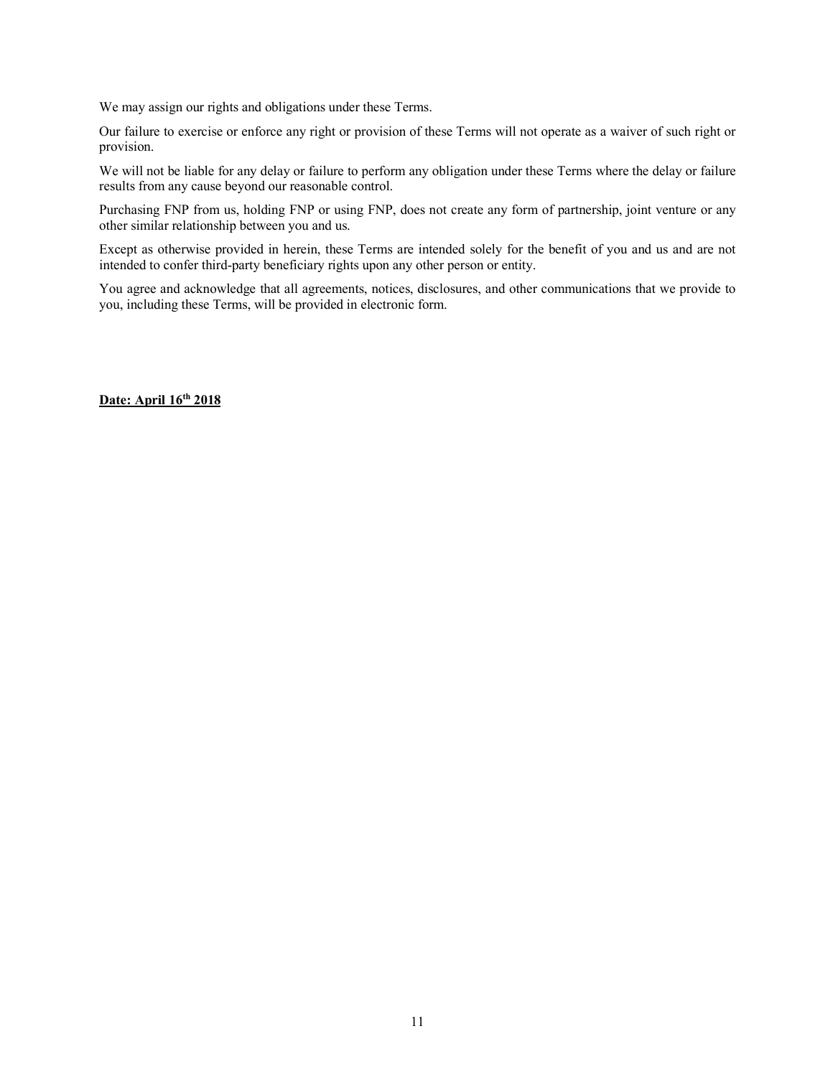We may assign our rights and obligations under these Terms.

Our failure to exercise or enforce any right or provision of these Terms will not operate as a waiver of such right or provision.

We will not be liable for any delay or failure to perform any obligation under these Terms where the delay or failure results from any cause beyond our reasonable control.

Purchasing FNP from us, holding FNP or using FNP, does not create any form of partnership, joint venture or any other similar relationship between you and us.

Except as otherwise provided in herein, these Terms are intended solely for the benefit of you and us and are not intended to confer third-party beneficiary rights upon any other person or entity.

You agree and acknowledge that all agreements, notices, disclosures, and other communications that we provide to you, including these Terms, will be provided in electronic form.

**Date: April 16th 2018**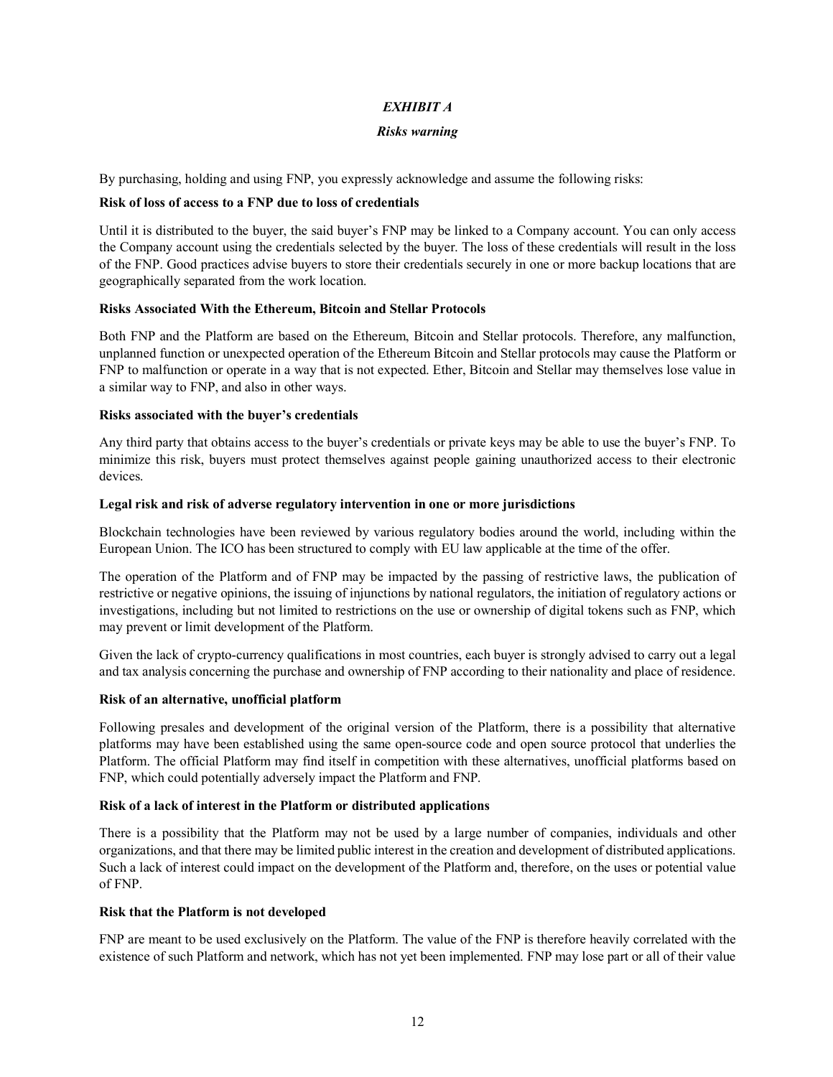# *EXHIBIT A*

#### *Risks warning*

By purchasing, holding and using FNP, you expressly acknowledge and assume the following risks:

#### **Risk of loss of access to a FNP due to loss of credentials**

Until it is distributed to the buyer, the said buyer's FNP may be linked to a Company account. You can only access the Company account using the credentials selected by the buyer. The loss of these credentials will result in the loss of the FNP. Good practices advise buyers to store their credentials securely in one or more backup locations that are geographically separated from the work location.

#### **Risks Associated With the Ethereum, Bitcoin and Stellar Protocols**

Both FNP and the Platform are based on the Ethereum, Bitcoin and Stellar protocols. Therefore, any malfunction, unplanned function or unexpected operation of the Ethereum Bitcoin and Stellar protocols may cause the Platform or FNP to malfunction or operate in a way that is not expected. Ether, Bitcoin and Stellar may themselves lose value in a similar way to FNP, and also in other ways.

#### **Risks associated with the buyer's credentials**

Any third party that obtains access to the buyer's credentials or private keys may be able to use the buyer's FNP. To minimize this risk, buyers must protect themselves against people gaining unauthorized access to their electronic devices.

#### **Legal risk and risk of adverse regulatory intervention in one or more jurisdictions**

Blockchain technologies have been reviewed by various regulatory bodies around the world, including within the European Union. The ICO has been structured to comply with EU law applicable at the time of the offer.

The operation of the Platform and of FNP may be impacted by the passing of restrictive laws, the publication of restrictive or negative opinions, the issuing of injunctions by national regulators, the initiation of regulatory actions or investigations, including but not limited to restrictions on the use or ownership of digital tokens such as FNP, which may prevent or limit development of the Platform.

Given the lack of crypto-currency qualifications in most countries, each buyer is strongly advised to carry out a legal and tax analysis concerning the purchase and ownership of FNP according to their nationality and place of residence.

## **Risk of an alternative, unofficial platform**

Following presales and development of the original version of the Platform, there is a possibility that alternative platforms may have been established using the same open-source code and open source protocol that underlies the Platform. The official Platform may find itself in competition with these alternatives, unofficial platforms based on FNP, which could potentially adversely impact the Platform and FNP.

#### **Risk of a lack of interest in the Platform or distributed applications**

There is a possibility that the Platform may not be used by a large number of companies, individuals and other organizations, and that there may be limited public interest in the creation and development of distributed applications. Such a lack of interest could impact on the development of the Platform and, therefore, on the uses or potential value of FNP.

## **Risk that the Platform is not developed**

FNP are meant to be used exclusively on the Platform. The value of the FNP is therefore heavily correlated with the existence of such Platform and network, which has not yet been implemented. FNP may lose part or all of their value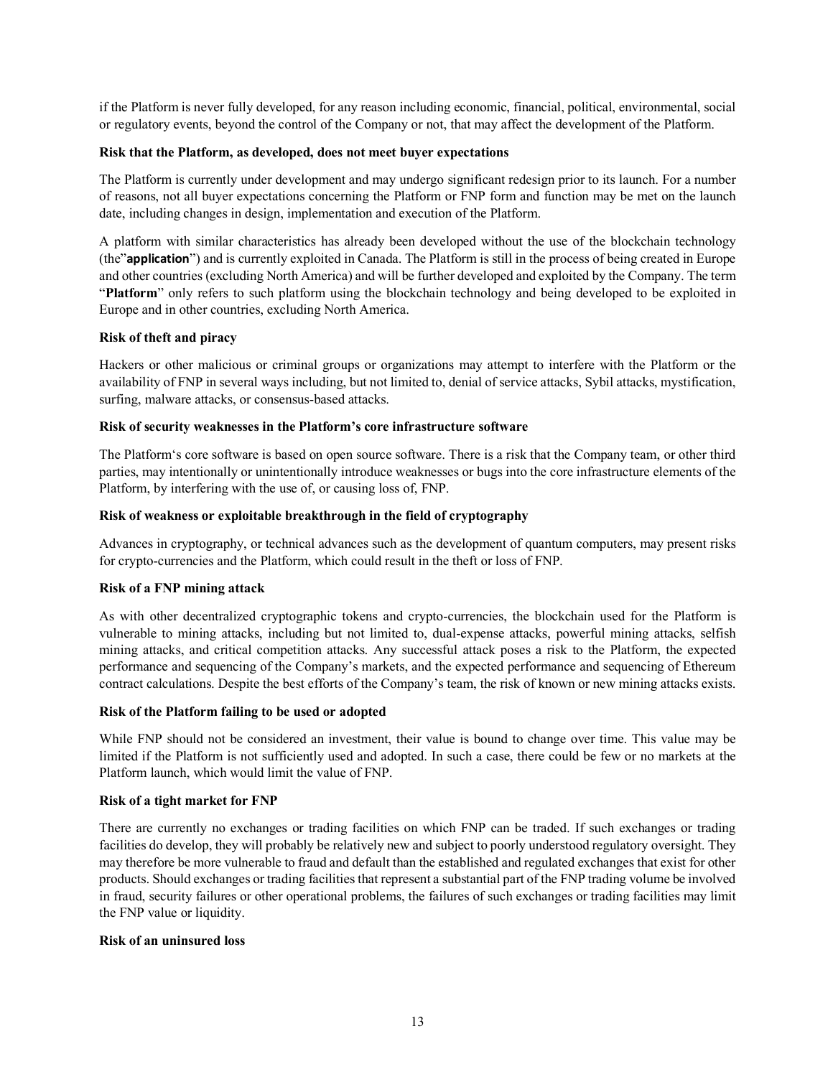if the Platform is never fully developed, for any reason including economic, financial, political, environmental, social or regulatory events, beyond the control of the Company or not, that may affect the development of the Platform.

# **Risk that the Platform, as developed, does not meet buyer expectations**

The Platform is currently under development and may undergo significant redesign prior to its launch. For a number of reasons, not all buyer expectations concerning the Platform or FNP form and function may be met on the launch date, including changes in design, implementation and execution of the Platform.

A platform with similar characteristics has already been developed without the use of the blockchain technology (the"**application**") and is currently exploited in Canada. The Platform is still in the process of being created in Europe and other countries (excluding North America) and will be further developed and exploited by the Company. The term "**Platform**" only refers to such platform using the blockchain technology and being developed to be exploited in Europe and in other countries, excluding North America.

#### **Risk of theft and piracy**

Hackers or other malicious or criminal groups or organizations may attempt to interfere with the Platform or the availability of FNP in several ways including, but not limited to, denial of service attacks, Sybil attacks, mystification, surfing, malware attacks, or consensus-based attacks.

#### **Risk of security weaknesses in the Platform's core infrastructure software**

The Platform's core software is based on open source software. There is a risk that the Company team, or other third parties, may intentionally or unintentionally introduce weaknesses or bugs into the core infrastructure elements of the Platform, by interfering with the use of, or causing loss of, FNP.

#### **Risk of weakness or exploitable breakthrough in the field of cryptography**

Advances in cryptography, or technical advances such as the development of quantum computers, may present risks for crypto-currencies and the Platform, which could result in the theft or loss of FNP.

#### **Risk of a FNP mining attack**

As with other decentralized cryptographic tokens and crypto-currencies, the blockchain used for the Platform is vulnerable to mining attacks, including but not limited to, dual-expense attacks, powerful mining attacks, selfish mining attacks, and critical competition attacks. Any successful attack poses a risk to the Platform, the expected performance and sequencing of the Company's markets, and the expected performance and sequencing of Ethereum contract calculations. Despite the best efforts of the Company's team, the risk of known or new mining attacks exists.

#### **Risk of the Platform failing to be used or adopted**

While FNP should not be considered an investment, their value is bound to change over time. This value may be limited if the Platform is not sufficiently used and adopted. In such a case, there could be few or no markets at the Platform launch, which would limit the value of FNP.

#### **Risk of a tight market for FNP**

There are currently no exchanges or trading facilities on which FNP can be traded. If such exchanges or trading facilities do develop, they will probably be relatively new and subject to poorly understood regulatory oversight. They may therefore be more vulnerable to fraud and default than the established and regulated exchanges that exist for other products. Should exchanges or trading facilitiesthat represent a substantial part of the FNP trading volume be involved in fraud, security failures or other operational problems, the failures of such exchanges or trading facilities may limit the FNP value or liquidity.

#### **Risk of an uninsured loss**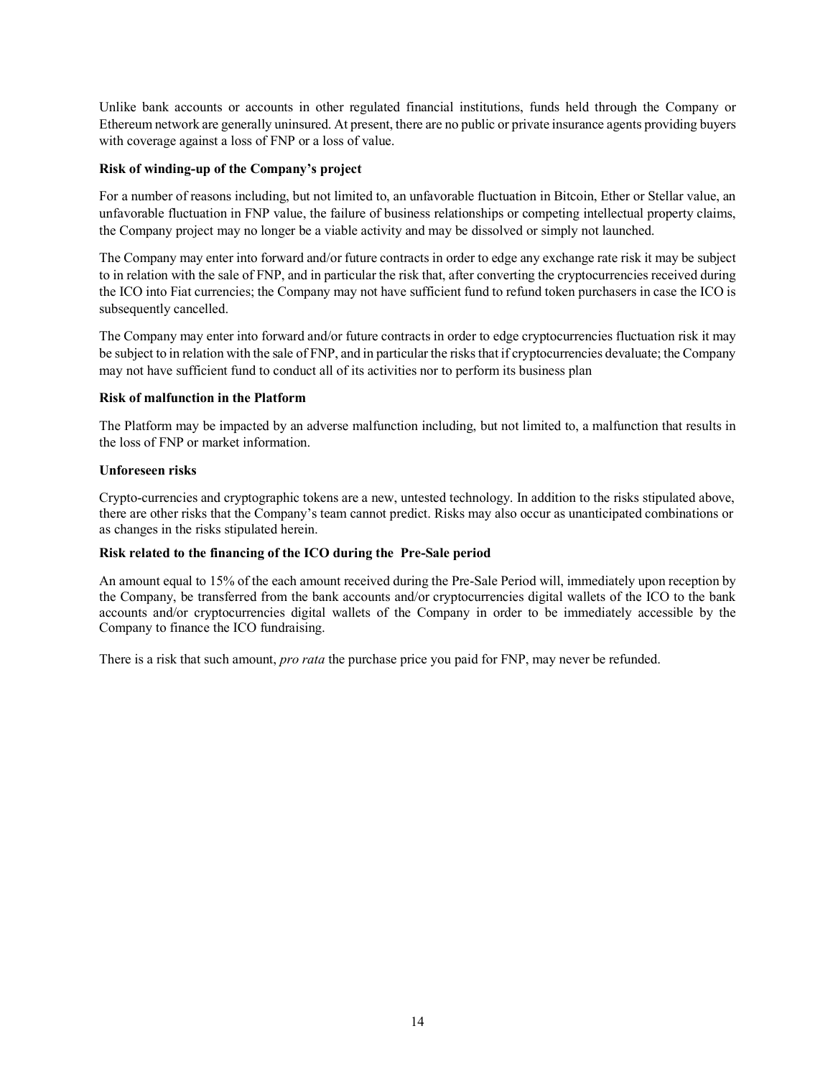Unlike bank accounts or accounts in other regulated financial institutions, funds held through the Company or Ethereum network are generally uninsured. At present, there are no public or private insurance agents providing buyers with coverage against a loss of FNP or a loss of value.

# **Risk of winding-up of the Company's project**

For a number of reasons including, but not limited to, an unfavorable fluctuation in Bitcoin, Ether or Stellar value, an unfavorable fluctuation in FNP value, the failure of business relationships or competing intellectual property claims, the Company project may no longer be a viable activity and may be dissolved or simply not launched.

The Company may enter into forward and/or future contracts in order to edge any exchange rate risk it may be subject to in relation with the sale of FNP, and in particular the risk that, after converting the cryptocurrencies received during the ICO into Fiat currencies; the Company may not have sufficient fund to refund token purchasers in case the ICO is subsequently cancelled.

The Company may enter into forward and/or future contracts in order to edge cryptocurrencies fluctuation risk it may be subject to in relation with the sale of FNP, and in particular the risksthat if cryptocurrencies devaluate; the Company may not have sufficient fund to conduct all of its activities nor to perform its business plan

# **Risk of malfunction in the Platform**

The Platform may be impacted by an adverse malfunction including, but not limited to, a malfunction that results in the loss of FNP or market information.

# **Unforeseen risks**

Crypto-currencies and cryptographic tokens are a new, untested technology. In addition to the risks stipulated above, there are other risks that the Company's team cannot predict. Risks may also occur as unanticipated combinations or as changes in the risks stipulated herein.

## **Risk related to the financing of the ICO during the Pre-Sale period**

An amount equal to 15% of the each amount received during the Pre-Sale Period will, immediately upon reception by the Company, be transferred from the bank accounts and/or cryptocurrencies digital wallets of the ICO to the bank accounts and/or cryptocurrencies digital wallets of the Company in order to be immediately accessible by the Company to finance the ICO fundraising.

There is a risk that such amount, *pro rata* the purchase price you paid for FNP, may never be refunded.